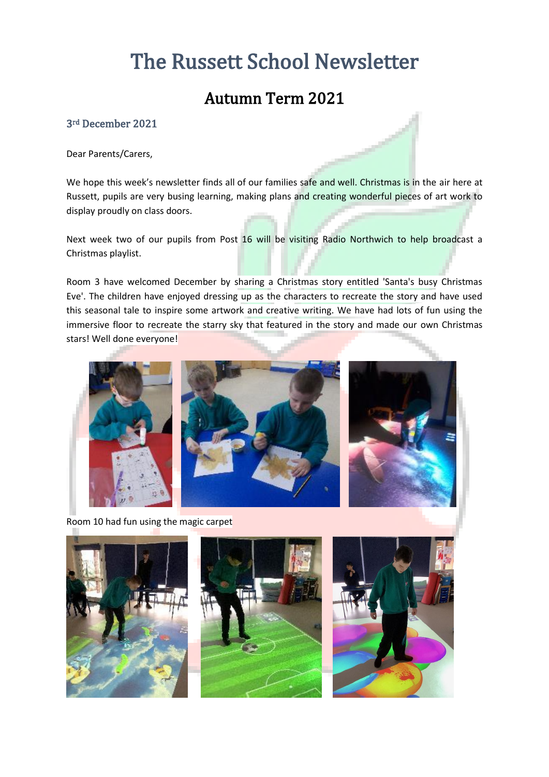# The Russett School Newsletter

### Autumn Term 2021

#### 3rd December 2021

Dear Parents/Carers,

We hope this week's newsletter finds all of our families safe and well. Christmas is in the air here at Russett, pupils are very busing learning, making plans and creating wonderful pieces of art work to display proudly on class doors.

Next week two of our pupils from Post 16 will be visiting Radio Northwich to help broadcast a Christmas playlist.

Room 3 have welcomed December by sharing a Christmas story entitled 'Santa's busy Christmas Eve'. The children have enjoyed dressing up as the characters to recreate the story and have used this seasonal tale to inspire some artwork and creative writing. We have had lots of fun using the immersive floor to recreate the starry sky that featured in the story and made our own Christmas stars! Well done everyone!



Room 10 had fun using the magic carpet





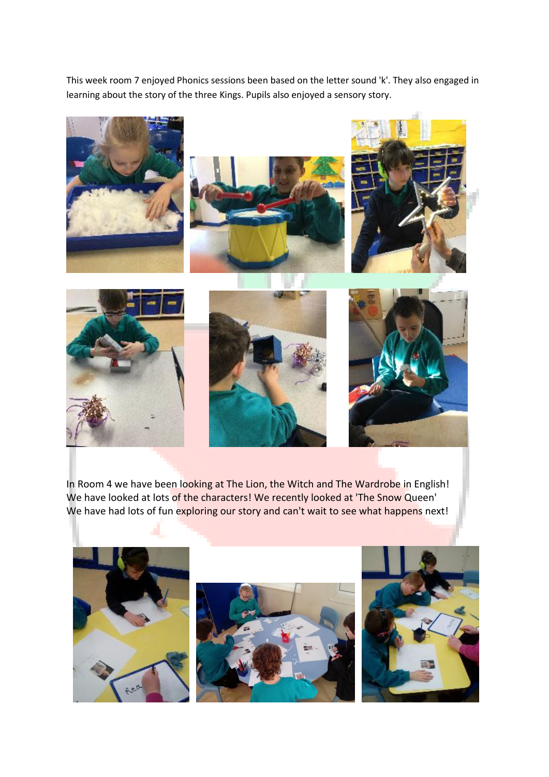This week room 7 enjoyed Phonics sessions been based on the letter sound 'k'. They also engaged in learning about the story of the three Kings. Pupils also enjoyed a sensory story.



In Room 4 we have been looking at The Lion, the Witch and The Wardrobe in English! We have looked at lots of the characters! We recently looked at 'The Snow Queen' We have had lots of fun exploring our story and can't wait to see what happens next!

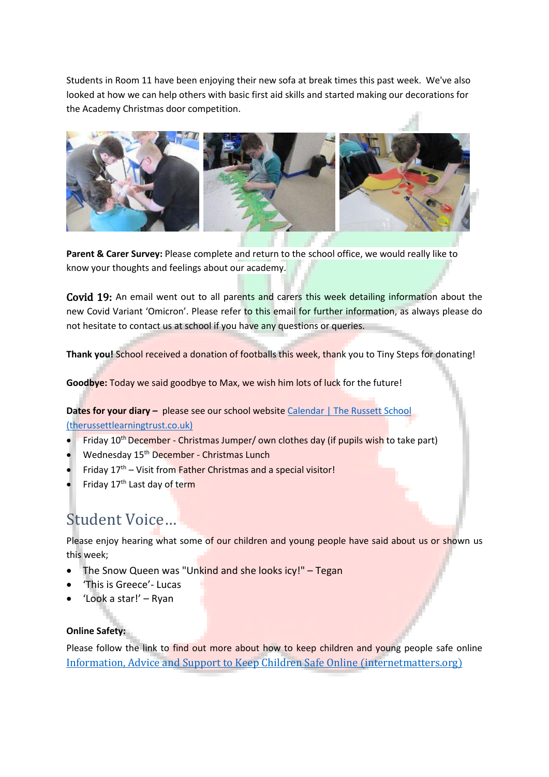Students in Room 11 have been enjoying their new sofa at break times this past week. We've also looked at how we can help others with basic first aid skills and started making our decorations for the Academy Christmas door competition.



**Parent & Carer Survey:** Please complete and return to the school office, we would really like to know your thoughts and feelings about our academy.

Covid 19: An email went out to all parents and carers this week detailing information about the new Covid Variant 'Omicron'. Please refer to this email for further information, as always please do not hesitate to contact us at school if you have any questions or queries.

**Thank you!** School received a donation of footballs this week, thank you to Tiny Steps for donating!

**Goodbye:** Today we said goodbye to Max, we wish him lots of luck for the future!

**Dates for your diary -** please see our school website Calendar | The Russett School [\(therussettlearningtrust.co.uk\)](https://www.therussettlearningtrust.co.uk/russett-school/parents/calendar/)

- Friday 10<sup>th</sup> December Christmas Jumper/ own clothes day (if pupils wish to take part)
- **Wednesday 15<sup>th</sup> December Christmas Lunch**
- Friday  $17<sup>th</sup>$  Visit from Father Christmas and a special visitor!
- Friday 17<sup>th</sup> Last day of term

## Student Voice…

Please enjoy hearing what some of our children and young people have said about us or shown us this week;

- The Snow Queen was "Unkind and she looks icy!" Tegan
- 'This is Greece'- Lucas
- 'Look a star!' Ryan

#### **Online Safety:**

Please follow the link to find out more about how to keep children and young people safe online Information, Advice and [Support to Keep Children Safe Online \(internetmatters.org\)](https://www.internetmatters.org/)